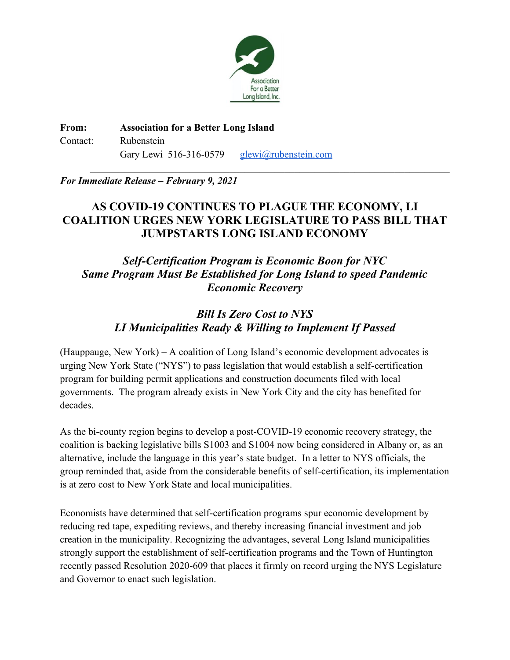

**From: Association for a Better Long Island** Contact: Rubenstein Gary Lewi 516-316-0579 [glewi@rubenstein.com](mailto:glewi@rubenstein.com)

*For Immediate Release – February 9, 2021*

## **AS COVID-19 CONTINUES TO PLAGUE THE ECONOMY, LI COALITION URGES NEW YORK LEGISLATURE TO PASS BILL THAT JUMPSTARTS LONG ISLAND ECONOMY**

 $\mathcal{L}_\text{max}$  , and the contribution of the contribution of the contribution of the contribution of the contribution of the contribution of the contribution of the contribution of the contribution of the contribution of t

*Self-Certification Program is Economic Boon for NYC Same Program Must Be Established for Long Island to speed Pandemic Economic Recovery*

# *Bill Is Zero Cost to NYS LI Municipalities Ready & Willing to Implement If Passed*

(Hauppauge, New York) – A coalition of Long Island's economic development advocates is urging New York State ("NYS") to pass legislation that would establish a self-certification program for building permit applications and construction documents filed with local governments. The program already exists in New York City and the city has benefited for decades.

As the bi-county region begins to develop a post-COVID-19 economic recovery strategy, the coalition is backing legislative bills S1003 and S1004 now being considered in Albany or, as an alternative, include the language in this year's state budget. In a letter to NYS officials, the group reminded that, aside from the considerable benefits of self-certification, its implementation is at zero cost to New York State and local municipalities.

Economists have determined that self-certification programs spur economic development by reducing red tape, expediting reviews, and thereby increasing financial investment and job creation in the municipality. Recognizing the advantages, several Long Island municipalities strongly support the establishment of self-certification programs and the Town of Huntington recently passed Resolution 2020-609 that places it firmly on record urging the NYS Legislature and Governor to enact such legislation.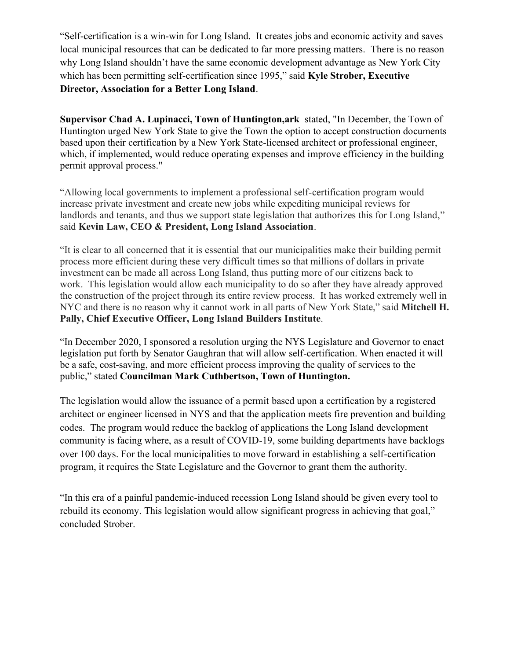"Self-certification is a win-win for Long Island. It creates jobs and economic activity and saves local municipal resources that can be dedicated to far more pressing matters. There is no reason why Long Island shouldn't have the same economic development advantage as New York City which has been permitting self-certification since 1995," said **Kyle Strober, Executive Director, Association for a Better Long Island**.

**Supervisor Chad A. Lupinacci, Town of Huntington,ark** stated, "In December, the Town of Huntington urged New York State to give the Town the option to accept construction documents based upon their certification by a New York State-licensed architect or professional engineer, which, if implemented, would reduce operating expenses and improve efficiency in the building permit approval process."

"Allowing local governments to implement a professional self-certification program would increase private investment and create new jobs while expediting municipal reviews for landlords and tenants, and thus we support state legislation that authorizes this for Long Island," said **Kevin Law, CEO & President, Long Island Association**.

"It is clear to all concerned that it is essential that our municipalities make their building permit process more efficient during these very difficult times so that millions of dollars in private investment can be made all across Long Island, thus putting more of our citizens back to work. This legislation would allow each municipality to do so after they have already approved the construction of the project through its entire review process. It has worked extremely well in NYC and there is no reason why it cannot work in all parts of New York State," said **Mitchell H. Pally, Chief Executive Officer, Long Island Builders Institute**.

"In December 2020, I sponsored a resolution urging the NYS Legislature and Governor to enact legislation put forth by Senator Gaughran that will allow self-certification. When enacted it will be a safe, cost-saving, and more efficient process improving the quality of services to the public," stated **Councilman Mark Cuthbertson, Town of Huntington.**

The legislation would allow the issuance of a permit based upon a certification by a registered architect or engineer licensed in NYS and that the application meets fire prevention and building codes. The program would reduce the backlog of applications the Long Island development community is facing where, as a result of COVID-19, some building departments have backlogs over 100 days. For the local municipalities to move forward in establishing a self-certification program, it requires the State Legislature and the Governor to grant them the authority.

"In this era of a painful pandemic-induced recession Long Island should be given every tool to rebuild its economy. This legislation would allow significant progress in achieving that goal," concluded Strober.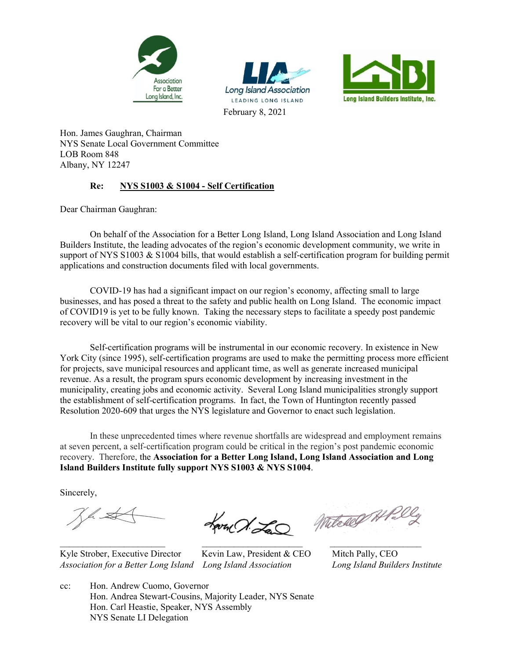





Hon. James Gaughran, Chairman NYS Senate Local Government Committee LOB Room 848 Albany, NY 12247

#### **Re: NYS S1003 & S1004 - Self Certification**

Dear Chairman Gaughran:

On behalf of the Association for a Better Long Island, Long Island Association and Long Island Builders Institute, the leading advocates of the region's economic development community, we write in support of NYS S1003 & S1004 bills, that would establish a self-certification program for building permit applications and construction documents filed with local governments.

COVID-19 has had a significant impact on our region's economy, affecting small to large businesses, and has posed a threat to the safety and public health on Long Island. The economic impact of COVID19 is yet to be fully known. Taking the necessary steps to facilitate a speedy post pandemic recovery will be vital to our region's economic viability.

Self-certification programs will be instrumental in our economic recovery. In existence in New York City (since 1995), self-certification programs are used to make the permitting process more efficient for projects, save municipal resources and applicant time, as well as generate increased municipal revenue. As a result, the program spurs economic development by increasing investment in the municipality, creating jobs and economic activity. Several Long Island municipalities strongly support the establishment of self-certification programs. In fact, the Town of Huntington recently passed Resolution 2020-609 that urges the NYS legislature and Governor to enact such legislation.

In these unprecedented times where revenue shortfalls are widespread and employment remains at seven percent, a self-certification program could be critical in the region's post pandemic economic recovery. Therefore, the **Association for a Better Long Island, Long Island Association and Long Island Builders Institute fully support NYS S1003 & NYS S1004**.

Sincerely,

h St

Kyle Strober, Executive Director Kevin Law, President & CEO Mitch Pally, CEO *Association for a Better Long Island Long Island Association Long Island Builders Institute*

Love d'La

Witchell Al

cc: Hon. Andrew Cuomo, Governor Hon. Andrea Stewart-Cousins, Majority Leader, NYS Senate Hon. Carl Heastie, Speaker, NYS Assembly NYS Senate LI Delegation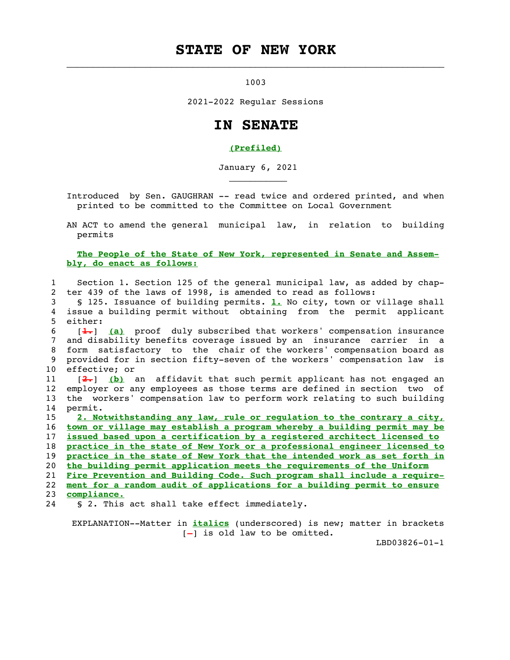### **STATE OF NEW YORK**

1003

 $\frac{1}{2}$  ,  $\frac{1}{2}$  ,  $\frac{1}{2}$  ,  $\frac{1}{2}$  ,  $\frac{1}{2}$  ,  $\frac{1}{2}$  ,  $\frac{1}{2}$  ,  $\frac{1}{2}$  ,  $\frac{1}{2}$  ,  $\frac{1}{2}$  ,  $\frac{1}{2}$  ,  $\frac{1}{2}$  ,  $\frac{1}{2}$  ,  $\frac{1}{2}$  ,  $\frac{1}{2}$  ,  $\frac{1}{2}$  ,  $\frac{1}{2}$  ,  $\frac{1}{2}$  ,  $\frac{1$ 

2021-2022 Regular Sessions

#### **IN SENATE**

#### **(Prefiled)**

January 6, 2021

Introduced by Sen. GAUGHRAN -- read twice and ordered printed, and when printed to be committed to the Committee on Local Government

 AN ACT to amend the general municipal law, in relation to building permits

 **The People of the State of New York, represented in Senate and Assem bly, do enact as follows:**

 1 Section 1. Section 125 of the general municipal law, as added by chap- 2 ter 439 of the laws of 1998, is amended to read as follows:

 3 § 125. Issuance of building permits. **1.** No city, town or village shall 4 issue a building permit without obtaining from the permit applicant 5 either:

 6 [**1.**] **(a)** proof duly subscribed that workers' compensation insurance 7 and disability benefits coverage issued by an insurance carrier in a 8 form satisfactory to the chair of the workers' compensation board as 9 provided for in section fifty-seven of the workers' compensation law is 10 effective; or

 11 [**2.**] **(b)** an affidavit that such permit applicant has not engaged an 12 employer or any employees as those terms are defined in section two of 13 the workers' compensation law to perform work relating to such building 14 permit.

**2. Notwithstanding any law, rule or regulation to the contrary a city, town or village may establish a program whereby a building permit may be issued based upon a certification by a registered architect licensed to practice in the state of New York or a professional engineer licensed to practice in the state of New York that the intended work as set forth in the building permit application meets the requirements of the Uniform Fire Prevention and Building Code. Such program shall include a require- ment for a random audit of applications for a building permit to ensure compliance.**

24 § 2. This act shall take effect immediately.

 $\mathcal{L}_\text{max}$  and  $\mathcal{L}_\text{max}$  are the set of the set of the set of the set of the set of the set of the set of the set of the set of the set of the set of the set of the set of the set of the set of the set of the set o

 EXPLANATION--Matter in **italics** (underscored) is new; matter in brackets  $[-]$  is old law to be omitted.

LBD03826-01-1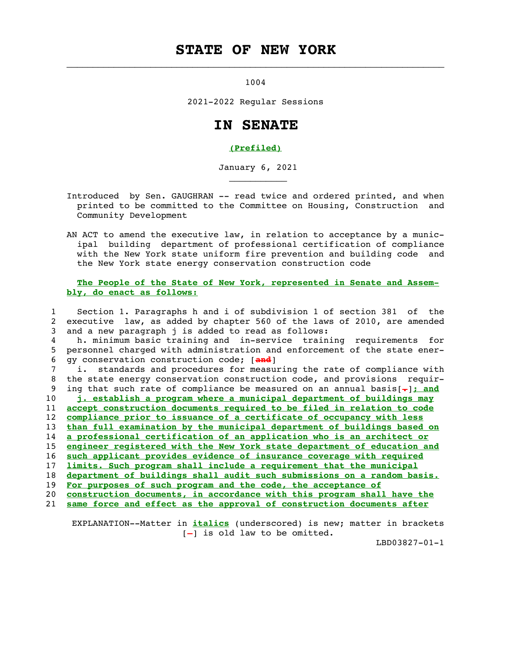### **STATE OF NEW YORK**

1004

 $\frac{1}{2}$  ,  $\frac{1}{2}$  ,  $\frac{1}{2}$  ,  $\frac{1}{2}$  ,  $\frac{1}{2}$  ,  $\frac{1}{2}$  ,  $\frac{1}{2}$  ,  $\frac{1}{2}$  ,  $\frac{1}{2}$  ,  $\frac{1}{2}$  ,  $\frac{1}{2}$  ,  $\frac{1}{2}$  ,  $\frac{1}{2}$  ,  $\frac{1}{2}$  ,  $\frac{1}{2}$  ,  $\frac{1}{2}$  ,  $\frac{1}{2}$  ,  $\frac{1}{2}$  ,  $\frac{1$ 

 $\mathcal{L}_\text{max}$  and  $\mathcal{L}_\text{max}$  are the set of the set of the set of the set of the set of the set of the set of the set of the set of the set of the set of the set of the set of the set of the set of the set of the set o

2021-2022 Regular Sessions

#### **IN SENATE**

#### **(Prefiled)**

January 6, 2021

- Introduced by Sen. GAUGHRAN -- read twice and ordered printed, and when printed to be committed to the Committee on Housing, Construction and Community Development
- AN ACT to amend the executive law, in relation to acceptance by a munic ipal building department of professional certification of compliance with the New York state uniform fire prevention and building code and the New York state energy conservation construction code

 **The People of the State of New York, represented in Senate and Assem bly, do enact as follows:**

 1 Section 1. Paragraphs h and i of subdivision 1 of section 381 of the 2 executive law, as added by chapter 560 of the laws of 2010, are amended 3 and a new paragraph j is added to read as follows: 4 h. minimum basic training and in-service training requirements for 5 personnel charged with administration and enforcement of the state ener- 6 gy conservation construction code; [**and**] 7 i. standards and procedures for measuring the rate of compliance with 8 the state energy conservation construction code, and provisions requir- 9 ing that such rate of compliance be measured on an annual basis[**.**]**; and** 10 **j. establish a program where a municipal department of buildings may** 11 **accept construction documents required to be filed in relation to code** 12 **compliance prior to issuance of a certificate of occupancy with less** 13 **than full examination by the municipal department of buildings based on** 14 **a professional certification of an application who is an architect or** 15 **engineer registered with the New York state department of education and** 16 **such applicant provides evidence of insurance coverage with required** 17 **limits. Such program shall include a requirement that the municipal** 18 **department of buildings shall audit such submissions on a random basis.** 19 **For purposes of such program and the code, the acceptance of** 20 **construction documents, in accordance with this program shall have the** 21 **same force and effect as the approval of construction documents after**

 EXPLANATION--Matter in **italics** (underscored) is new; matter in brackets  $[-]$  is old law to be omitted.

LBD03827-01-1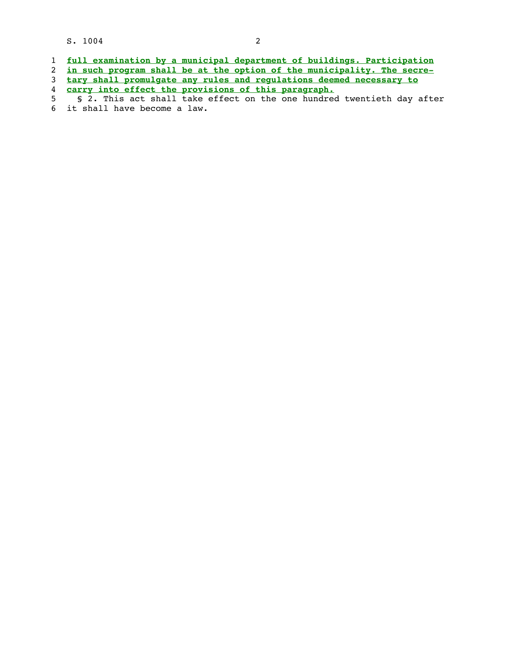S. 1004 2

|  | full examination by a municipal department of buildings. Participation |  |  |  |  |
|--|------------------------------------------------------------------------|--|--|--|--|
|  |                                                                        |  |  |  |  |
|  |                                                                        |  |  |  |  |

- 2 **in such program shall be at the option of the municipality. The secre-**
- 3 **tary shall promulgate any rules and regulations deemed necessary to** 4 **carry into effect the provisions of this paragraph.**

 <sup>5 § 2.</sup> This act shall take effect on the one hundred twentieth day after 6 it shall have become a law.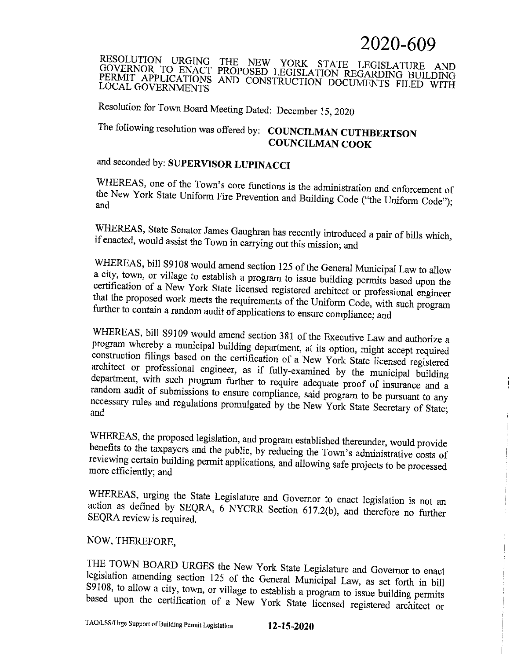# 2020-609

RESOLUTION URGING THE NEW YORK STATE LEGISLATURE AND GOVERNOR TO ENACT PROPOSED LEGISLATION REGARDING BUILDING PERMIT APPLICATIONS AND CONSTRUCTION DOCUMENTS FILED WITH **LOCAL GOVERNMENTS** 

Resolution for Town Board Meeting Dated: December 15, 2020

# The following resolution was offered by: COUNCILMAN CUTHBERTSON **COUNCILMAN COOK**

and seconded by: SUPERVISOR LUPINACCI

WHEREAS, one of the Town's core functions is the administration and enforcement of the New York State Uniform Fire Prevention and Building Code ("the Uniform Code"); and

WHEREAS, State Senator James Gaughran has recently introduced a pair of bills which, if enacted, would assist the Town in carrying out this mission; and

WHEREAS, bill S9108 would amend section 125 of the General Municipal Law to allow a city, town, or village to establish a program to issue building permits based upon the certification of a New York State licensed registered architect or professional engineer that the proposed work meets the requirements of the Uniform Code, with such program further to contain a random audit of applications to ensure compliance; and

WHEREAS, bill S9109 would amend section 381 of the Executive Law and authorize a program whereby a municipal building department, at its option, might accept required construction filings based on the certification of a New York State licensed registered architect or professional engineer, as if fully-examined by the municipal building department, with such program further to require adequate proof of insurance and a random audit of submissions to ensure compliance, said program to be pursuant to any necessary rules and regulations promulgated by the New York State Secretary of State; and

WHEREAS, the proposed legislation, and program established thereunder, would provide benefits to the taxpayers and the public, by reducing the Town's administrative costs of reviewing certain building permit applications, and allowing safe projects to be processed more efficiently; and

WHEREAS, urging the State Legislature and Governor to enact legislation is not an action as defined by SEQRA, 6 NYCRR Section 617.2(b), and therefore no further SEQRA review is required.

#### NOW, THEREFORE,

THE TOWN BOARD URGES the New York State Legislature and Governor to enact legislation amending section 125 of the General Municipal Law, as set forth in bill S9108, to allow a city, town, or village to establish a program to issue building permits based upon the certification of a New York State licensed registered architect or